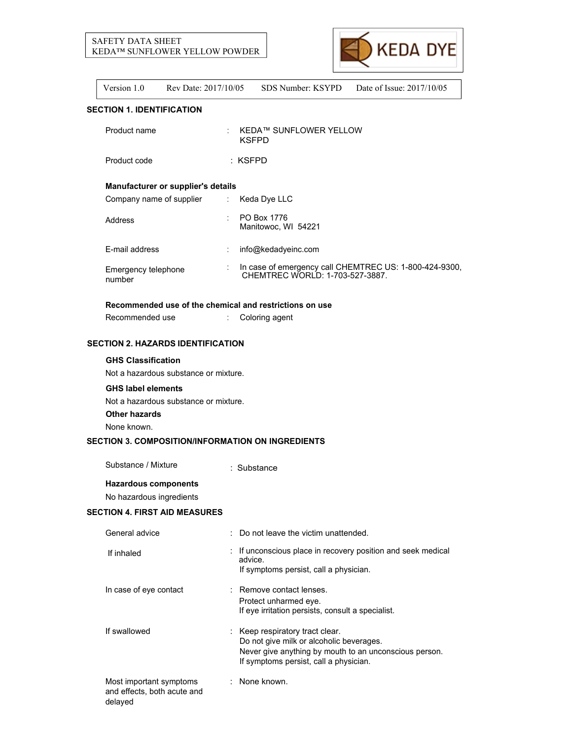# SAFETY DATA SHEET KEDA™ SUNFLOWER YELLOW POWDER



Version 1.0 Rev Date: 2017/10/05 SDS Number: KSYPD Date of Issue: 2017/10/05

## **SECTION 1. IDENTIFICATION**

| Product name                       |                           | <b>KEDA™ SUNFLOWER YELLOW</b><br><b>KSFPD</b>                                            |
|------------------------------------|---------------------------|------------------------------------------------------------------------------------------|
| Product code                       |                           | $:$ KSFPD                                                                                |
| Manufacturer or supplier's details |                           |                                                                                          |
| Company name of supplier           | $\mathbb{Z}^{\mathbb{Z}}$ | Keda Dye LLC                                                                             |
| Address                            |                           | PO Box 1776<br>Manitowoc, WI 54221                                                       |
| E-mail address                     |                           | info@kedadyeinc.com                                                                      |
| Emergency telephone<br>number      |                           | In case of emergency call CHEMTREC US: 1-800-424-9300,<br>CHEMTREC WORLD: 1-703-527-3887 |

## **Recommended use of the chemical and restrictions on use**

Recommended use : Coloring agent

# **SECTION 2. HAZARDS IDENTIFICATION**

## **GHS Classification**

Not a hazardous substance or mixture.

### **GHS label elements**

Not a hazardous substance or mixture.

**Other hazards**

None known.

## **SECTION 3. COMPOSITION/INFORMATION ON INGREDIENTS**

Substance / Mixture : Substance

**Hazardous components**

No hazardous ingredients

## **SECTION 4. FIRST AID MEASURES**

| General advice                                                    | : Do not leave the victim unattended.                                                                                                                                           |
|-------------------------------------------------------------------|---------------------------------------------------------------------------------------------------------------------------------------------------------------------------------|
| If inhaled                                                        | : If unconscious place in recovery position and seek medical<br>advice.<br>If symptoms persist, call a physician.                                                               |
| In case of eye contact                                            | : Remove contact lenses.<br>Protect unharmed eye.<br>If eye irritation persists, consult a specialist.                                                                          |
| If swallowed                                                      | : Keep respiratory tract clear.<br>Do not give milk or alcoholic beverages.<br>Never give anything by mouth to an unconscious person.<br>If symptoms persist, call a physician. |
| Most important symptoms<br>and effects, both acute and<br>delayed | : None known.                                                                                                                                                                   |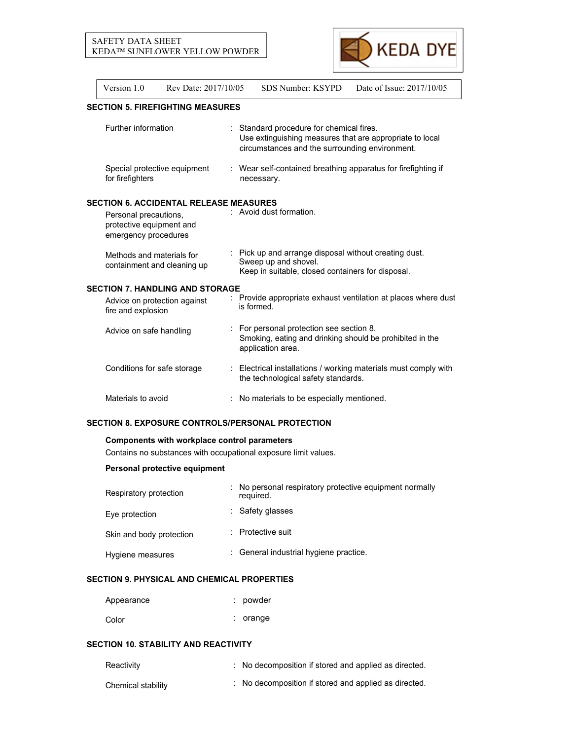

| Version 1.0                                                                                                                | Rev Date: 2017/10/05 | SDS Number: KSYPD<br>Date of Issue: 2017/10/05                                                                                                       |
|----------------------------------------------------------------------------------------------------------------------------|----------------------|------------------------------------------------------------------------------------------------------------------------------------------------------|
| <b>SECTION 5. FIREFIGHTING MEASURES</b>                                                                                    |                      |                                                                                                                                                      |
| Further information                                                                                                        |                      | Standard procedure for chemical fires.<br>Use extinguishing measures that are appropriate to local<br>circumstances and the surrounding environment. |
| Special protective equipment<br>for firefighters                                                                           |                      | : Wear self-contained breathing apparatus for firefighting if<br>necessary.                                                                          |
| <b>SECTION 6. ACCIDENTAL RELEASE MEASURES</b><br>Personal precautions,<br>protective equipment and<br>emergency procedures |                      | : Avoid dust formation.                                                                                                                              |
| Methods and materials for<br>containment and cleaning up                                                                   |                      | Pick up and arrange disposal without creating dust.<br>Sweep up and shovel.<br>Keep in suitable, closed containers for disposal.                     |
| <b>SECTION 7. HANDLING AND STORAGE</b>                                                                                     |                      |                                                                                                                                                      |
| Advice on protection against<br>fire and explosion                                                                         |                      | Provide appropriate exhaust ventilation at places where dust<br>is formed.                                                                           |
| Advice on safe handling                                                                                                    |                      | For personal protection see section 8.<br>Smoking, eating and drinking should be prohibited in the<br>application area.                              |
| Conditions for safe storage                                                                                                |                      | : Electrical installations / working materials must comply with<br>the technological safety standards.                                               |
| Materials to avoid                                                                                                         |                      | No materials to be especially mentioned.                                                                                                             |

# **SECTION 8. EXPOSURE CONTROLS/PERSONAL PROTECTION**

## **Components with workplace control parameters**

Contains no substances with occupational exposure limit values.

# **Personal protective equipment**

| Respiratory protection   | : No personal respiratory protective equipment normally<br>required. |
|--------------------------|----------------------------------------------------------------------|
| Eye protection           | : Safety glasses                                                     |
| Skin and body protection | : Protective suit                                                    |
| Hygiene measures         | : General industrial hygiene practice.                               |

## **SECTION 9. PHYSICAL AND CHEMICAL PROPERTIES**

| Appearance | : powder   |
|------------|------------|
| Color      | $:$ orange |

# **SECTION 10. STABILITY AND REACTIVITY**

| Reactivity         | : No decomposition if stored and applied as directed. |  |
|--------------------|-------------------------------------------------------|--|
| Chemical stability | : No decomposition if stored and applied as directed. |  |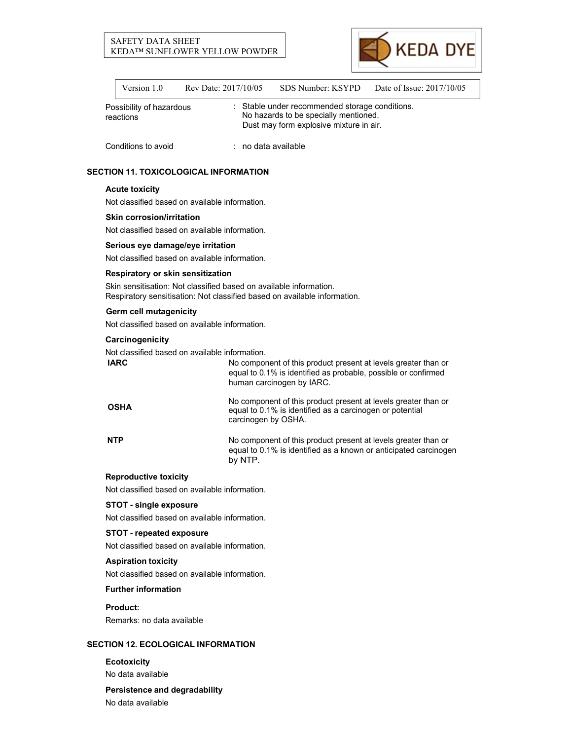## SAFETY DATA SHEET KEDA™ SUNFLOWER YELLOW POWDER



| Version 1.0                           | Rev Date: 2017/10/05 | SDS Number: KSYPD                                                                                                                  | Date of Issue: 2017/10/05 |  |
|---------------------------------------|----------------------|------------------------------------------------------------------------------------------------------------------------------------|---------------------------|--|
| Possibility of hazardous<br>reactions |                      | : Stable under recommended storage conditions.<br>No hazards to be specially mentioned.<br>Dust may form explosive mixture in air. |                           |  |
| Conditions to avoid                   |                      | $:$ no data available                                                                                                              |                           |  |

## **SECTION 11. TOXICOLOGICAL INFORMATION**

### **Acute toxicity**

Not classified based on available information.

### **Skin corrosion/irritation**

Not classified based on available information.

### **Serious eye damage/eye irritation**

Not classified based on available information.

## **Respiratory or skin sensitization**

Skin sensitisation: Not classified based on available information. Respiratory sensitisation: Not classified based on available information.

### **Germ cell mutagenicity**

Not classified based on available information.

## **Carcinogenicity**

Not classified based on available information.

| <b>IARC</b> | No component of this product present at levels greater than or<br>equal to 0.1% is identified as probable, possible or confirmed<br>human carcinogen by IARC. |
|-------------|---------------------------------------------------------------------------------------------------------------------------------------------------------------|
| <b>OSHA</b> | No component of this product present at levels greater than or<br>equal to 0.1% is identified as a carcinogen or potential<br>carcinogen by OSHA.             |
| <b>NTP</b>  | No component of this product present at levels greater than or<br>equal to 0.1% is identified as a known or anticipated carcinogen<br>by NTP.                 |

## **Reproductive toxicity**

Not classified based on available information.

### **STOT - single exposure**

Not classified based on available information.

## **STOT - repeated exposure**

Not classified based on available information.

## **Aspiration toxicity**

Not classified based on available information.

### **Further information**

**Product:**

Remarks: no data available

## **SECTION 12. ECOLOGICAL INFORMATION**

**Ecotoxicity** No data available

# **Persistence and degradability**

No data available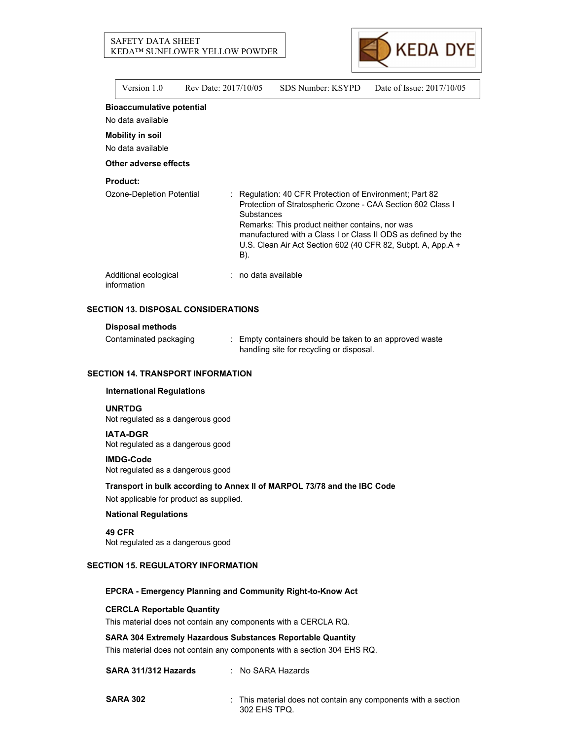## SAFETY DATA SHEET KEDA™ SUNFLOWER YELLOW POWDER



Version 1.0 Rev Date: 2017/10/05 SDS Number: KSYPD Date of Issue: 2017/10/05

## **Bioaccumulative potential**

No data available **Mobility in soil**

No data available

#### **Other adverse effects**

### **Product:**

| Ozone-Depletion Potential            | : Regulation: 40 CFR Protection of Environment; Part 82<br>Protection of Stratospheric Ozone - CAA Section 602 Class I<br>Substances<br>Remarks: This product neither contains, nor was<br>manufactured with a Class I or Class II ODS as defined by the<br>U.S. Clean Air Act Section 602 (40 CFR 82, Subpt. A, App.A +<br>B). |
|--------------------------------------|---------------------------------------------------------------------------------------------------------------------------------------------------------------------------------------------------------------------------------------------------------------------------------------------------------------------------------|
| Additional ecological<br>information | : no data available                                                                                                                                                                                                                                                                                                             |

## **SECTION 13. DISPOSAL CONSIDERATIONS**

#### **Disposal methods**

Contaminated packaging : Empty containers should be taken to an approved waste handling site for recycling or disposal.

# **SECTION 14. TRANSPORT INFORMATION**

### **International Regulations**

#### **UNRTDG**

Not regulated as a dangerous good

#### **IATA-DGR**

Not regulated as a dangerous good

#### **IMDG-Code**

Not regulated as a dangerous good

**Transport in bulk according to Annex II of MARPOL 73/78 and the IBC Code** Not applicable for product as supplied.

#### **National Regulations**

**49 CFR** Not regulated as a dangerous good

## **SECTION 15. REGULATORY INFORMATION**

### **EPCRA - Emergency Planning and Community Right-to-Know Act**

#### **CERCLA Reportable Quantity**

This material does not contain any components with a CERCLA RQ.

## **SARA 304 Extremely Hazardous Substances Reportable Quantity**

This material does not contain any components with a section 304 EHS RQ.

### **SARA 311/312 Hazards** : No SARA Hazards

**SARA 302** : This material does not contain any components with a section 302 EHS TPQ.